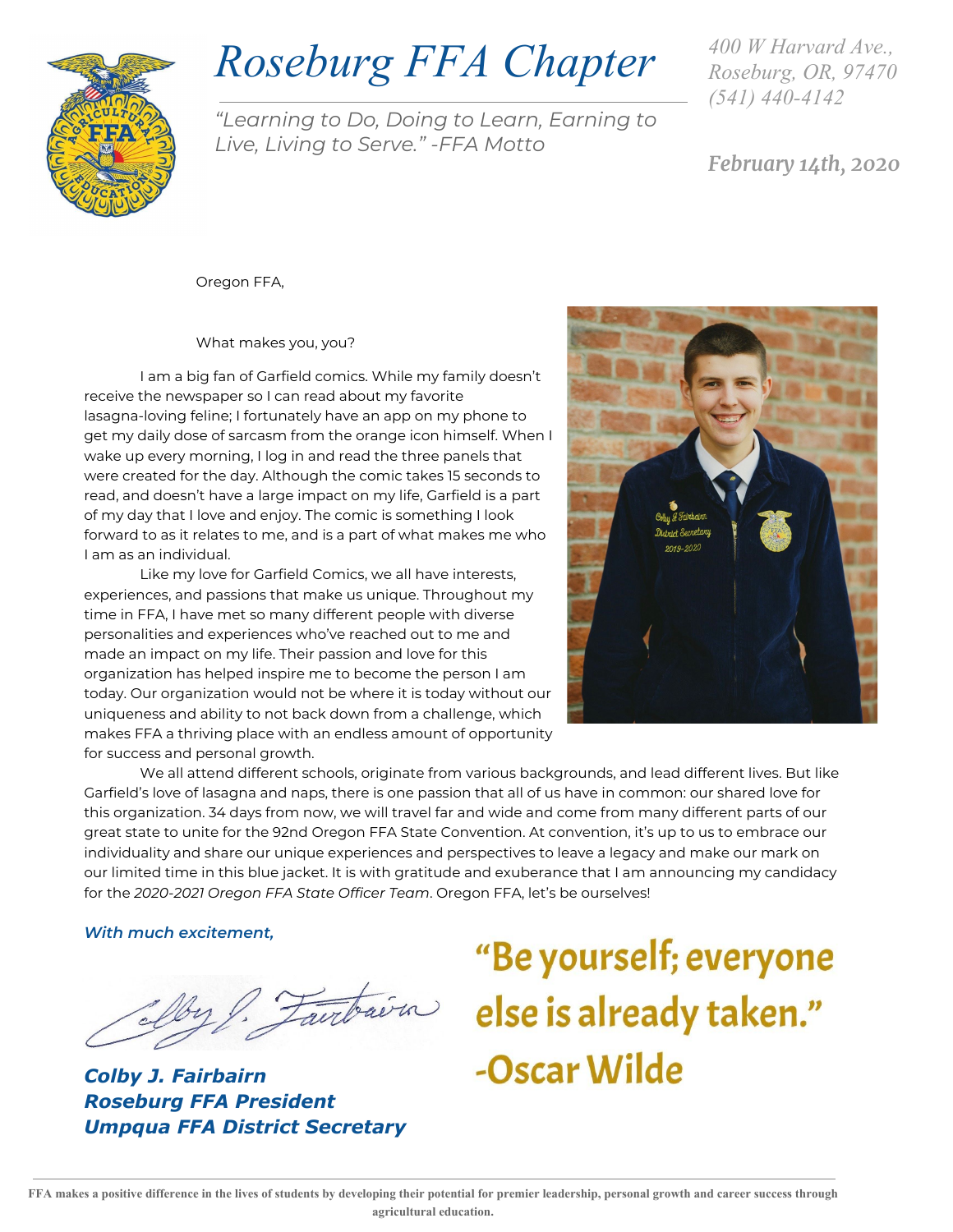

## *Roseburg FFA Chapter*

"Learning to Do, Doing to Learn, Earning to Live, Living to Serve." -FFA Motto

*400 W Harvard Ave., Roseburg, OR, 97470 (541) 440-4142*

February 14th, 2020

Oregon FFA,

What makes you, you?

I am a big fan of Garfield comics. While my family doesn't receive the newspaper so I can read about my favorite lasagna-loving feline; I fortunately have an app on my phone to get my daily dose of sarcasm from the orange icon himself. When I wake up every morning, I log in and read the three panels that were created for the day. Although the comic takes 15 seconds to read, and doesn't have a large impact on my life, Garfield is a part of my day that I love and enjoy. The comic is something I look forward to as it relates to me, and is a part of what makes me who I am as an individual.

Like my love for Garfield Comics, we all have interests, experiences, and passions that make us unique. Throughout my time in FFA, I have met so many different people with diverse personalities and experiences who've reached out to me and made an impact on my life. Their passion and love for this organization has helped inspire me to become the person I am today. Our organization would not be where it is today without our uniqueness and ability to not back down from a challenge, which makes FFA a thriving place with an endless amount of opportunity for success and personal growth.



We all attend different schools, originate from various backgrounds, and lead different lives. But like Garfield's love of lasagna and naps, there is one passion that all of us have in common: our shared love for this organization. 34 days from now, we will travel far and wide and come from many different parts of our great state to unite for the 92nd Oregon FFA State Convention. At convention, it's up to us to embrace our individuality and share our unique experiences and perspectives to leave a legacy and make our mark on our limited time in this blue jacket. It is with gratitude and exuberance that I am announcing my candidacy for the 2020-2021 Oregon FFA State Officer Team. Oregon FFA, let's be ourselves!

With much excitement,

*Colby J. Fairbairn Roseburg FFA President Umpqua FFA District Secretary*

# "Be yourself; everyone aurbaira else is already taken." -Oscar Wilde

FFA makes a positive difference in the lives of students by developing their potential for premier leadership, personal growth and career success through **agricultural education.**